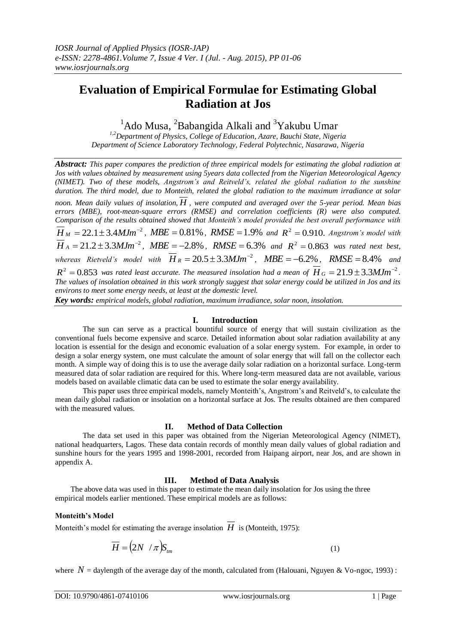# **Evaluation of Empirical Formulae for Estimating Global Radiation at Jos**

 $1$ Ado Musa,  $2$ Babangida Alkali and  $3$ Yakubu Umar

*1,2Department of Physics, College of Education, Azare, Bauchi State, Nigeria Department of Science Laboratory Technology, Federal Polytechnic, Nasarawa, Nigeria*

*Abstract: This paper compares the prediction of three empirical models for estimating the global radiation at Jos with values obtained by measurement using 5years data collected from the Nigerian Meteorological Agency (NIMET). Two of these models, Angstrom's and Reitveld's, related the global radiation to the sunshine duration. The third model, due to Monteith, related the global radiation to the maximum irradiance at solar noon. Mean daily values of insolation, H , were computed and averaged over the 5-year period. Mean bias errors (MBE), root-mean-square errors (RMSE) and correlation coefficients (R) were also computed. Comparison of the results obtained showed that Monteith's model provided the best overall performance with*   $\overline{H}_M = 22.1 \pm 3.4 MJm^{-2}$ ,  $MBE = 0.81\%$ ,  $RMSE = 1.9\%$  and  $R^2 = 0.910$ . Angstrom's model with  $\overline{H}_A = 21.2 \pm 3.3 MJm^{-2}$ ,  $MBE = -2.8\%$ ,  $RMSE = 6.3\%$  and  $R^2 = 0.863$  was rated next best, whereas Rietveld's model with  $\overline{H}_R = 20.5 \pm 3.3 MJm^{-2}$ ,  $MBE = -6.2\%$ ,  $RMSE = 8.4\%$  and  $R^2 = 0.853$  was rated least accurate. The measured insolation had a mean of  $\overline{H}_G = 21.9 \pm 3.3 M \text{J} m^{-2}$ . *The values of insolation obtained in this work strongly suggest that solar energy could be utilized in Jos and its environs to meet some energy needs, at least at the domestic level.*

*Key words: empirical models, global radiation, maximum irradiance, solar noon, insolation.*

## **I. Introduction**

The sun can serve as a practical bountiful source of energy that will sustain civilization as the conventional fuels become expensive and scarce. Detailed information about solar radiation availability at any location is essential for the design and economic evaluation of a solar energy system. For example, in order to design a solar energy system, one must calculate the amount of solar energy that will fall on the collector each month. A simple way of doing this is to use the average daily solar radiation on a horizontal surface. Long-term measured data of solar radiation are required for this. Where long-term measured data are not available, various models based on available climatic data can be used to estimate the solar energy availability.

This paper uses three empirical models, namely Monteith's, Angstrom's and Reitveld's, to calculate the mean daily global radiation or insolation on a horizontal surface at Jos. The results obtained are then compared with the measured values.

#### **II. Method of Data Collection**

The data set used in this paper was obtained from the Nigerian Meteorological Agency (NIMET), national headquarters, Lagos. These data contain records of monthly mean daily values of global radiation and sunshine hours for the years 1995 and 1998-2001, recorded from Haipang airport, near Jos, and are shown in appendix A.

## **III. Method of Data Analysis**

The above data was used in this paper to estimate the mean daily insolation for Jos using the three empirical models earlier mentioned. These empirical models are as follows:

#### **Monteith's Model**

Monteith's model for estimating the average insolation  $H$  is (Monteith, 1975):

$$
\overline{H} = (2N / \pi)S_{tm} \tag{1}
$$

where  $N =$  daylength of the average day of the month, calculated from (Halouani, Nguyen & Vo-ngoc, 1993) :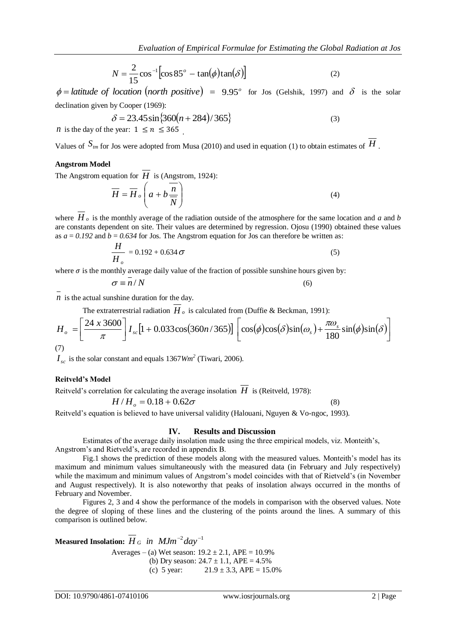$$
N = \frac{2}{15} \cos^{-1} \left[ \cos 85^\circ - \tan(\phi) \tan(\delta) \right]
$$
 (2)

 $\phi =$  *latitude* of *location* (*north positive*) = 9.95<sup>°</sup> for Jos (Gelshik, 1997) and  $\delta$  is the solar declination given by Cooper (1969):

$$
\delta = 23.45 \sin \{360(n + 284)/365\}
$$
  
\n*n* is the day of the year:  $1 \le n \le 365$ 

Values of  $S_{\ell m}$  for Jos were adopted from Musa (2010) and used in equation (1) to obtain estimates of  $H$ .

## **Angstrom Model**

The Angstrom equation for  $H$  is (Angstrom, 1924):

$$
\overline{H} = \overline{H}_o \left( a + b \frac{\overline{n}}{N} \right)
$$
(4)

where  $H_o$  is the monthly average of the radiation outside of the atmosphere for the same location and *a* and *b* are constants dependent on site. Their values are determined by regression. Ojosu (1990) obtained these values as  $a = 0.192$  and  $b = 0.634$  for Jos. The Angstrom equation for Jos can therefore be written as:

$$
\frac{H}{H_o} = 0.192 + 0.634 \,\sigma \tag{5}
$$

where  $\sigma$  is the monthly average daily value of the fraction of possible sunshine hours given by:

$$
\sigma \equiv n/N \tag{6}
$$

*n* is the actual sunshine duration for the day.

The extraterrestrial radiation 
$$
H_o
$$
 is calculated from (Duffie & Beckman, 1991):  
\n
$$
H_o = \left[\frac{24 \times 3600}{\pi}\right] I_{sc} [1 + 0.033 \cos(360n/365)] \left[\cos(\phi)\cos(\delta)\sin(\omega_s) + \frac{\pi \omega_s}{180} \sin(\phi)\sin(\delta)\right]
$$
\n(7)

 $I_{sc}$  is the solar constant and equals 1367*Wm<sup>2</sup>* (Tiwari, 2006).

## **Reitveld's Model**

Reitveld's correlation for calculating the average insolation  $H$  is (Reitveld, 1978):

$$
H/H_0 = 0.18 + 0.62\sigma
$$

Reitveld's equation is believed to have universal validity (Halouani, Nguyen & Vo-ngoc, 1993).

#### **IV. Results and Discussion**

Estimates of the average daily insolation made using the three empirical models, viz. Monteith's, Angstrom's and Rietveld's, are recorded in appendix B.

Fig.1 shows the prediction of these models along with the measured values. Monteith's model has its maximum and minimum values simultaneously with the measured data (in February and July respectively) while the maximum and minimum values of Angstrom's model coincides with that of Rietveld's (in November and August respectively). It is also noteworthy that peaks of insolation always occurred in the months of February and November.

Figures 2, 3 and 4 show the performance of the models in comparison with the observed values. Note the degree of sloping of these lines and the clustering of the points around the lines. A summary of this comparison is outlined below.

 $\bf{M}$ easured Insolation:  $\overline{H}_{\mathit{G}}$  *in*  $\bm{\mathit{MJm}}^{-2}$ *da*y $^{-1}$ Averages – (a) Wet season:  $19.2 \pm 2.1$ , APE = 10.9% (b) Dry season:  $24.7 \pm 1.1$ , APE =  $4.5\%$ (c) 5 year:  $21.9 \pm 3.3$ , APE = 15.0% (8)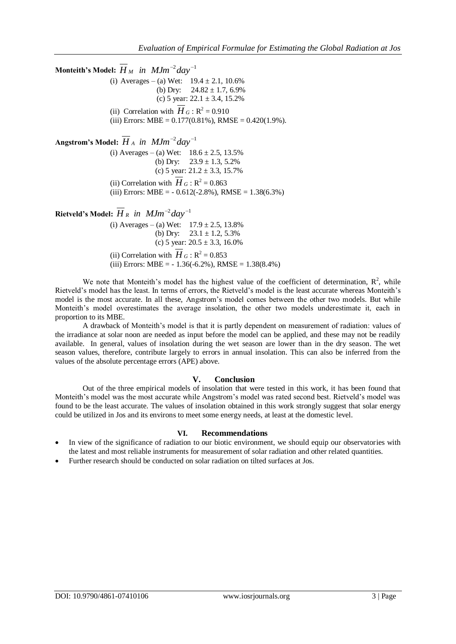$\bf{Monteith's Model:} \ \ H_{\ M} \ \ in \ \ M\ Jm^{-2}day^{-1}$ (i) Averages – (a) Wet:  $19.4 \pm 2.1$ , 10.6% (b) Dry:  $24.82 \pm 1.7$ , 6.9% (c) 5 year:  $22.1 \pm 3.4$ , 15.2% (ii) Correlation with  $H_G$ :  $R^2 = 0.910$ (iii) Errors: MBE =  $0.177(0.81\%)$ , RMSE =  $0.420(1.9\%)$ .  $\bf{Angstrom's\ Model:}\ \overline{H}_{A}\ \ in\ \ MJm^{-2}day^{-1}$ (i) Averages – (a) Wet:  $18.6 \pm 2.5$ , 13.5% (b) Dry:  $23.9 \pm 1.3, 5.2\%$ (c) 5 year:  $21.2 \pm 3.3$ , 15.7% (ii) Correlation with  $H_G$ :  $R^2 = 0.863$ (iii) Errors: MBE =  $-0.612(-2.8\%)$ , RMSE =  $1.38(6.3\%)$  ${\bf R}$ ietveld's Model:  $\overline{H}_R$  *in*  $\mathit{MJm}^{-2}day^{-1}$ (i) Averages – (a) Wet:  $17.9 \pm 2.5$ , 13.8% (b) Dry:  $23.1 \pm 1.2, 5.3\%$ (c) 5 year:  $20.5 \pm 3.3$ , 16.0% (ii) Correlation with  $H_G$ :  $R^2 = 0.853$ (iii) Errors: MBE =  $-1.36(-6.2\%)$ , RMSE =  $1.38(8.4\%)$ 

We note that Monteith's model has the highest value of the coefficient of determination,  $\mathbb{R}^2$ , while Rietveld's model has the least. In terms of errors, the Rietveld's model is the least accurate whereas Monteith's model is the most accurate. In all these, Angstrom's model comes between the other two models. But while Monteith's model overestimates the average insolation, the other two models underestimate it, each in proportion to its MBE.

A drawback of Monteith's model is that it is partly dependent on measurement of radiation: values of the irradiance at solar noon are needed as input before the model can be applied, and these may not be readily available. In general, values of insolation during the wet season are lower than in the dry season. The wet season values, therefore, contribute largely to errors in annual insolation. This can also be inferred from the values of the absolute percentage errors (APE) above.

# **V. Conclusion**

Out of the three empirical models of insolation that were tested in this work, it has been found that Monteith's model was the most accurate while Angstrom's model was rated second best. Rietveld's model was found to be the least accurate. The values of insolation obtained in this work strongly suggest that solar energy could be utilized in Jos and its environs to meet some energy needs, at least at the domestic level.

# **VI. Recommendations**

- In view of the significance of radiation to our biotic environment, we should equip our observatories with the latest and most reliable instruments for measurement of solar radiation and other related quantities.
- Further research should be conducted on solar radiation on tilted surfaces at Jos.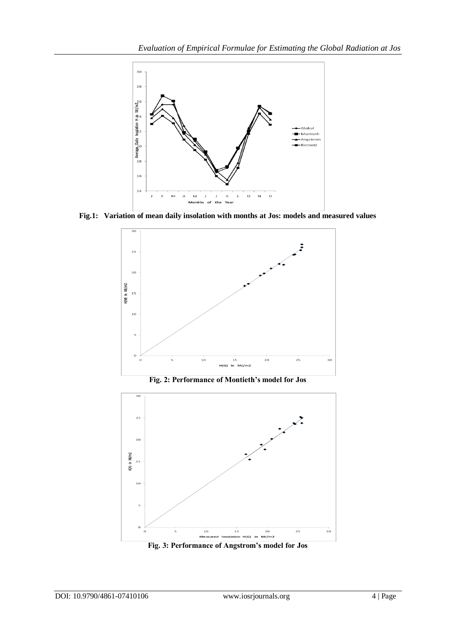

**Fig.1: Variation of mean daily insolation with months at Jos: models and measured values**



**Fig. 2: Performance of Montieth's model for Jos**



**Fig. 3: Performance of Angstrom's model for Jos**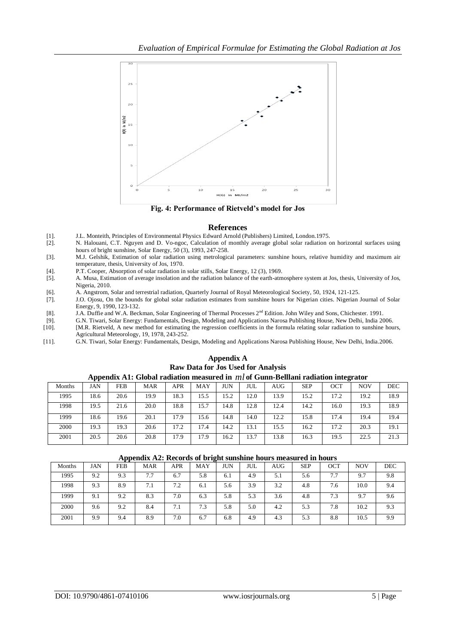

**Fig. 4: Performance of Rietveld's model for Jos**

#### **References**

- [1]. J.L. Monteith, Principles of Environmental Physics Edward Arnold (Publishers) Limited, London.1975.
- [2]. N. Halouani, C.T. Nguyen and D. Vo-ngoc, Calculation of monthly average global solar radiation on horizontal surfaces using hours of bright sunshine, Solar Energy, 50 (3), 1993, 247-258.
- [3]. M.J. Gelshik, Estimation of solar radiation using metrological parameters: sunshine hours, relative humidity and maximum air temperature, thesis, University of Jos, 1970.
- [4]. P.T. Cooper, Absorption of solar radiation in solar stills, Solar Energy, 12 (3), 1969.
- [5]. A. Musa, Estimation of average insolation and the radiation balance of the earth-atmosphere system at Jos, thesis, University of Jos, Nigeria, 2010.
- [6]. A. Angstrom, Solar and terrestrial radiation, Quarterly Journal of Royal Meteorological Society, 50, 1924, 121-125.
- [7]. J.O. Ojosu, On the bounds for global solar radiation estimates from sunshine hours for Nigerian cities. Nigerian Journal of Solar Energy, 9, 1990, 123-132.
- [8]. J.A. Duffie and W.A. Beckman, Solar Engineering of Thermal Processes 2nd Edition. John Wiley and Sons, Chichester. 1991.
- [9]. G.N. Tiwari, Solar Energy: Fundamentals, Design, Modeling and Applications Narosa Publishing House, New Delhi, India 2006.
- [10]. [M.R. Rietveld, A new method for estimating the regression coefficients in the formula relating solar radiation to sunshine hours, Agricultural Meteorology, 19, 1978, 243-252.
- [11]. G.N. Tiwari, Solar Energy: Fundamentals, Design, Modeling and Applications Narosa Publishing House, New Delhi, India.2006.

|                                                                                      | <b>RUMAN DURIN TOT GOD CBCG TOT TAIRER VISI</b> |            |            |            |      |      |      |            |            |            |            |            |  |  |
|--------------------------------------------------------------------------------------|-------------------------------------------------|------------|------------|------------|------|------|------|------------|------------|------------|------------|------------|--|--|
| Appendix A1: Global radiation measured in $ml$ of Gunn-Belllani radiation integrator |                                                 |            |            |            |      |      |      |            |            |            |            |            |  |  |
| Months                                                                               | JAN                                             | <b>FEB</b> | <b>MAR</b> | <b>APR</b> | MAY  | JUN  | JUL  | <b>AUG</b> | <b>SEP</b> | <b>OCT</b> | <b>NOV</b> | <b>DEC</b> |  |  |
| 1995                                                                                 | 18.6                                            | 20.6       | 19.9       | 18.3       | 15.5 | 15.2 | 12.0 | 13.9       | 15.2       | 17.2       | 19.2       | 18.9       |  |  |
| 1998                                                                                 | 19.5                                            | 21.6       | 20.0       | 18.8       | 15.7 | 14.8 | 12.8 | 12.4       | 14.2       | 16.0       | 19.3       | 18.9       |  |  |
| 1999                                                                                 | 18.6                                            | 19.6       | 20.1       | 17.9       | 15.6 | 14.8 | 14.0 | 12.2       | 15.8       | 17.4       | 19.4       | 19.4       |  |  |
| 2000                                                                                 | 19.3                                            | 19.3       | 20.6       | 17.2       | 17.4 | 14.2 | 13.1 | 15.5       | 16.2       | 17.2       | 20.3       | 19.1       |  |  |
| 2001                                                                                 | 20.5                                            | 20.6       | 20.8       | 17.9       | 17.9 | 16.2 | 13.7 | 13.8       | 16.3       | 19.5       | 22.5       | 21.3       |  |  |

**Appendix A Raw Data for Jos Used for Analysis**

| Appendix A2: Records of bright sunshine hours measured in hours |
|-----------------------------------------------------------------|
|-----------------------------------------------------------------|

|        | $ \mathbf{r}$ $\mathbf{r}$ $\mathbf{r}$ $\mathbf{r}$ $\mathbf{r}$ $\mathbf{r}$ $\mathbf{r}$ $\mathbf{r}$ $\mathbf{r}$ $\mathbf{r}$<br>. |     |            |     |     |     |     |       |            |     |            |     |  |  |  |
|--------|-----------------------------------------------------------------------------------------------------------------------------------------|-----|------------|-----|-----|-----|-----|-------|------------|-----|------------|-----|--|--|--|
| Months | JAN                                                                                                                                     | FEB | <b>MAR</b> | APR | MAY | JUN | JUL | AUG - | <b>SEP</b> | OCT | <b>NOV</b> | DEC |  |  |  |
| 1995   | 9.2                                                                                                                                     | 9.3 | 7.7        | 6.7 | 5.8 | 6.1 | 4.9 | 5.1   | 5.6        | 7.7 | 9.7        | 9.8 |  |  |  |
| 1998   | 9.3                                                                                                                                     | 8.9 | 7.1        | 7.2 | 6.1 | 5.6 | 3.9 | 3.2   | 4.8        | 7.6 | 10.0       | 9.4 |  |  |  |
| 1999   | 9.1                                                                                                                                     | 9.2 | 8.3        | 7.0 | 6.3 | 5.8 | 5.3 | 3.6   | 4.8        | 7.3 | 9.7        | 9.6 |  |  |  |
| 2000   | 9.6                                                                                                                                     | 9.2 | 8.4        | 7.1 | 7.3 | 5.8 | 5.0 | 4.2   | 5.3        | 7.8 | 10.2       | 9.3 |  |  |  |
| 2001   | 9.9                                                                                                                                     | 9.4 | 8.9        | 7.0 | 6.7 | 6.8 | 4.9 | 4.3   | 5.3        | 8.8 | 10.5       | 9.9 |  |  |  |